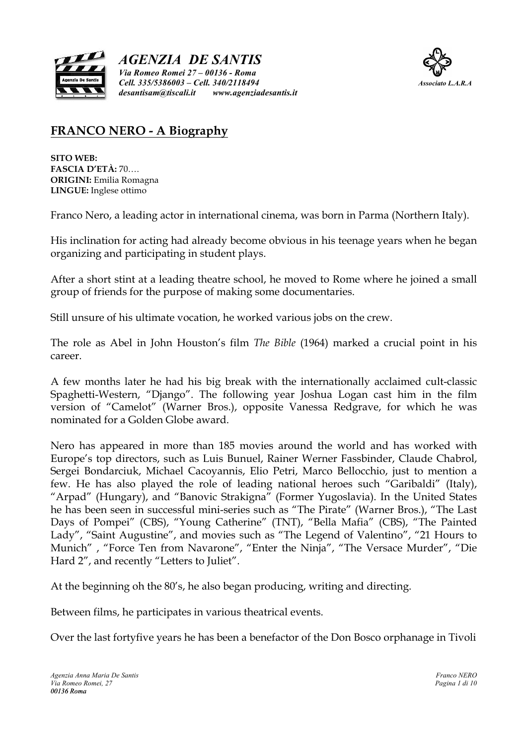

*AGENZIA DE SANTIS Via Romeo Romei 27 – 00136 - Roma Cell. 335/5386003 – Cell. 340/2118494 Associato L.A.R.A desantisam@tiscali.it www.agenziadesantis.it*



# **FRANCO NERO - A Biography**

**SITO WEB: FASCIA D'ETÀ:** 70…. **ORIGINI:** Emilia Romagna **LINGUE:** Inglese ottimo

Franco Nero, a leading actor in international cinema, was born in Parma (Northern Italy).

His inclination for acting had already become obvious in his teenage years when he began organizing and participating in student plays.

After a short stint at a leading theatre school, he moved to Rome where he joined a small group of friends for the purpose of making some documentaries.

Still unsure of his ultimate vocation, he worked various jobs on the crew.

The role as Abel in John Houston's film *The Bible* (1964) marked a crucial point in his career.

A few months later he had his big break with the internationally acclaimed cult-classic Spaghetti-Western, "Django". The following year Joshua Logan cast him in the film version of "Camelot" (Warner Bros.), opposite Vanessa Redgrave, for which he was nominated for a Golden Globe award.

Nero has appeared in more than 185 movies around the world and has worked with Europe's top directors, such as Luis Bunuel, Rainer Werner Fassbinder, Claude Chabrol, Sergei Bondarciuk, Michael Cacoyannis, Elio Petri, Marco Bellocchio, just to mention a few. He has also played the role of leading national heroes such "Garibaldi" (Italy), "Arpad" (Hungary), and "Banovic Strakigna" (Former Yugoslavia). In the United States he has been seen in successful mini-series such as "The Pirate" (Warner Bros.), "The Last Days of Pompei" (CBS), "Young Catherine" (TNT), "Bella Mafia" (CBS), "The Painted Lady", "Saint Augustine", and movies such as "The Legend of Valentino", "21 Hours to Munich" , "Force Ten from Navarone", "Enter the Ninja", "The Versace Murder", "Die Hard 2", and recently "Letters to Juliet".

At the beginning oh the 80's, he also began producing, writing and directing.

Between films, he participates in various theatrical events.

Over the last fortyfive years he has been a benefactor of the Don Bosco orphanage in Tivoli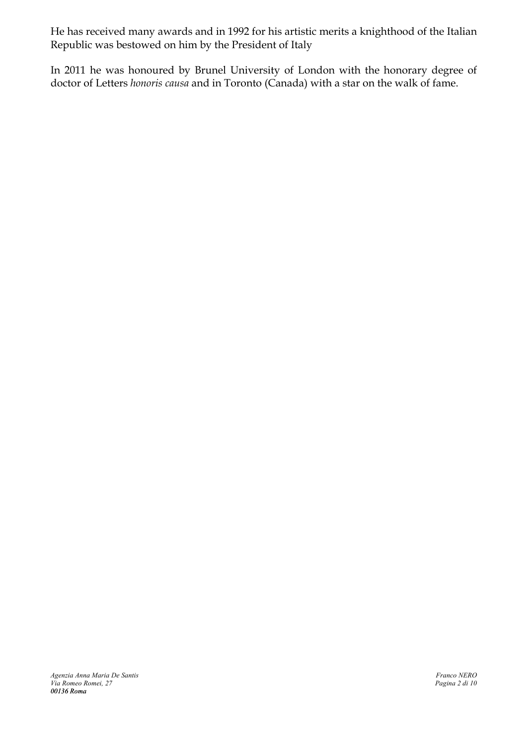He has received many awards and in 1992 for his artistic merits a knighthood of the Italian Republic was bestowed on him by the President of Italy

In 2011 he was honoured by Brunel University of London with the honorary degree of doctor of Letters *honoris causa* and in Toronto (Canada) with a star on the walk of fame.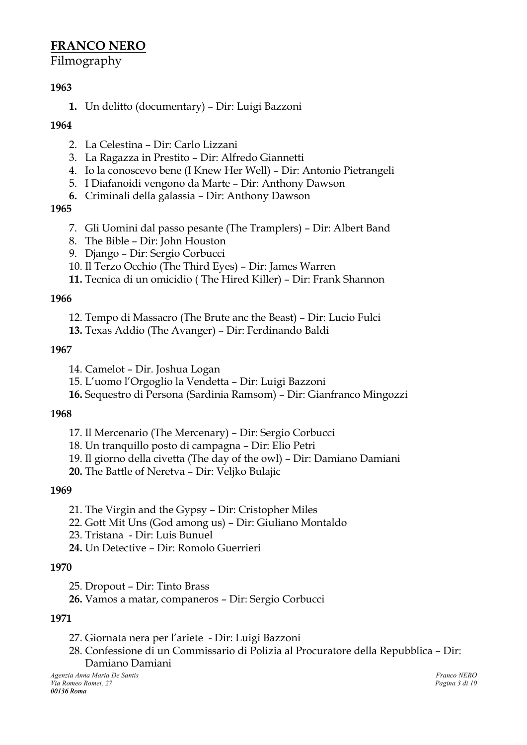# **FRANCO NERO**

# Filmography

# **1963**

**1.** Un delitto (documentary) – Dir: Luigi Bazzoni

# **1964**

- 2. La Celestina Dir: Carlo Lizzani
- 3. La Ragazza in Prestito Dir: Alfredo Giannetti
- 4. Io la conoscevo bene (I Knew Her Well) Dir: Antonio Pietrangeli
- 5. I Diafanoidi vengono da Marte Dir: Anthony Dawson
- **6.** Criminali della galassia Dir: Anthony Dawson

# **1965**

- 7. Gli Uomini dal passo pesante (The Tramplers) Dir: Albert Band
- 8. The Bible Dir: John Houston
- 9. Django Dir: Sergio Corbucci
- 10. Il Terzo Occhio (The Third Eyes) Dir: James Warren
- **11.** Tecnica di un omicidio ( The Hired Killer) Dir: Frank Shannon

# **1966**

- 12. Tempo di Massacro (The Brute anc the Beast) Dir: Lucio Fulci
- **13.** Texas Addio (The Avanger) Dir: Ferdinando Baldi

# **1967**

- 14. Camelot Dir. Joshua Logan
- 15. L'uomo l'Orgoglio la Vendetta Dir: Luigi Bazzoni
- **16.** Sequestro di Persona (Sardinia Ramsom) Dir: Gianfranco Mingozzi

# **1968**

- 17. Il Mercenario (The Mercenary) Dir: Sergio Corbucci
- 18. Un tranquillo posto di campagna Dir: Elio Petri
- 19. Il giorno della civetta (The day of the owl) Dir: Damiano Damiani
- **20.** The Battle of Neretva Dir: Veljko Bulajic

# **1969**

- 21. The Virgin and the Gypsy Dir: Cristopher Miles
- 22. Gott Mit Uns (God among us) Dir: Giuliano Montaldo
- 23. Tristana Dir: Luis Bunuel
- **24.** Un Detective Dir: Romolo Guerrieri

# **1970**

- 25. Dropout Dir: Tinto Brass
- **26.** Vamos a matar, companeros Dir: Sergio Corbucci

# **1971**

- 27. Giornata nera per l'ariete Dir: Luigi Bazzoni
- 28. Confessione di un Commissario di Polizia al Procuratore della Repubblica Dir:

Damiano Damiani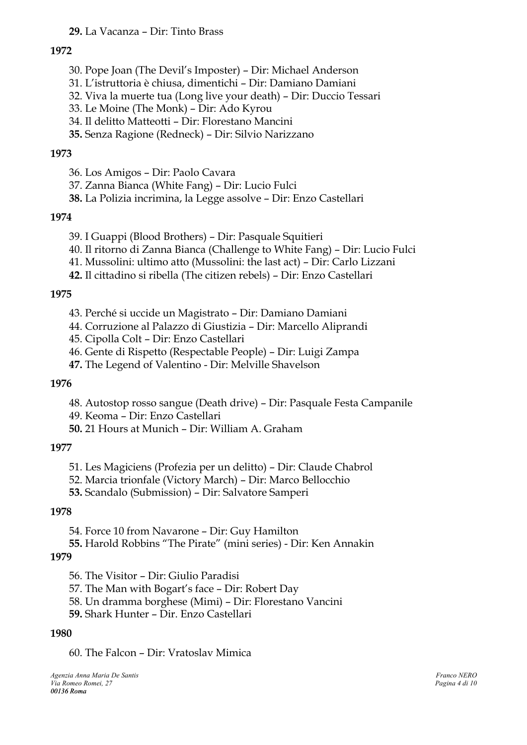### **29.** La Vacanza – Dir: Tinto Brass

#### **1972**

- 30. Pope Joan (The Devil's Imposter) Dir: Michael Anderson
- 31. L'istruttoria è chiusa, dimentichi Dir: Damiano Damiani
- 32. Viva la muerte tua (Long live your death) Dir: Duccio Tessari
- 33. Le Moine (The Monk) Dir: Ado Kyrou
- 34. Il delitto Matteotti Dir: Florestano Mancini
- **35.** Senza Ragione (Redneck) Dir: Silvio Narizzano

#### **1973**

36. Los Amigos – Dir: Paolo Cavara

- 37. Zanna Bianca (White Fang) Dir: Lucio Fulci
- **38.** La Polizia incrimina, la Legge assolve Dir: Enzo Castellari

### **1974**

- 39. I Guappi (Blood Brothers) Dir: Pasquale Squitieri
- 40. Il ritorno di Zanna Bianca (Challenge to White Fang) Dir: Lucio Fulci
- 41. Mussolini: ultimo atto (Mussolini: the last act) Dir: Carlo Lizzani
- **42.** Il cittadino si ribella (The citizen rebels) Dir: Enzo Castellari

#### **1975**

- 43. Perché si uccide un Magistrato Dir: Damiano Damiani
- 44. Corruzione al Palazzo di Giustizia Dir: Marcello Aliprandi
- 45. Cipolla Colt Dir: Enzo Castellari
- 46. Gente di Rispetto (Respectable People) Dir: Luigi Zampa
- **47.** The Legend of Valentino Dir: Melville Shavelson

#### **1976**

- 48. Autostop rosso sangue (Death drive) Dir: Pasquale Festa Campanile
- 49. Keoma Dir: Enzo Castellari
- **50.** 21 Hours at Munich Dir: William A. Graham

#### **1977**

- 51. Les Magiciens (Profezia per un delitto) Dir: Claude Chabrol
- 52. Marcia trionfale (Victory March) Dir: Marco Bellocchio

**53.** Scandalo (Submission) – Dir: Salvatore Samperi

#### **1978**

- 54. Force 10 from Navarone Dir: Guy Hamilton
- **55.** Harold Robbins "The Pirate" (mini series) Dir: Ken Annakin

#### **1979**

- 56. The Visitor Dir: Giulio Paradisi
- 57. The Man with Bogart's face Dir: Robert Day
- 58. Un dramma borghese (Mimi) Dir: Florestano Vancini
- **59.** Shark Hunter Dir. Enzo Castellari

#### **1980**

60. The Falcon – Dir: Vratoslav Mimica

*Agenzia Anna Maria De Santis Franco NERO*  $V$ ia Romeo Romei, 27 *00136 Roma*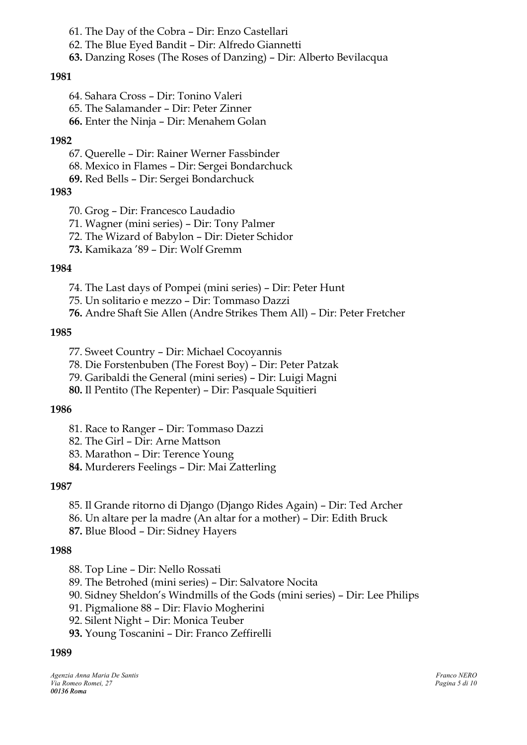61. The Day of the Cobra – Dir: Enzo Castellari

- 62. The Blue Eyed Bandit Dir: Alfredo Giannetti
- **63.** Danzing Roses (The Roses of Danzing) Dir: Alberto Bevilacqua

#### **1981**

- 64. Sahara Cross Dir: Tonino Valeri
- 65. The Salamander Dir: Peter Zinner
- **66.** Enter the Ninja Dir: Menahem Golan

#### **1982**

- 67. Querelle Dir: Rainer Werner Fassbinder
- 68. Mexico in Flames Dir: Sergei Bondarchuck
- **69.** Red Bells Dir: Sergei Bondarchuck

# **1983**

- 70. Grog Dir: Francesco Laudadio
- 71. Wagner (mini series) Dir: Tony Palmer
- 72. The Wizard of Babylon Dir: Dieter Schidor
- **73.** Kamikaza '89 Dir: Wolf Gremm

### **1984**

- 74. The Last days of Pompei (mini series) Dir: Peter Hunt
- 75. Un solitario e mezzo Dir: Tommaso Dazzi
- **76.** Andre Shaft Sie Allen (Andre Strikes Them All) Dir: Peter Fretcher

### **1985**

- 77. Sweet Country Dir: Michael Cocoyannis
- 78. Die Forstenbuben (The Forest Boy) Dir: Peter Patzak
- 79. Garibaldi the General (mini series) Dir: Luigi Magni
- **80.** Il Pentito (The Repenter) Dir: Pasquale Squitieri

#### **1986**

- 81. Race to Ranger Dir: Tommaso Dazzi
- 82. The Girl Dir: Arne Mattson
- 83. Marathon Dir: Terence Young
- **84.** Murderers Feelings Dir: Mai Zatterling

#### **1987**

- 85. Il Grande ritorno di Django (Django Rides Again) Dir: Ted Archer
- 86. Un altare per la madre (An altar for a mother) Dir: Edith Bruck
- **87.** Blue Blood Dir: Sidney Hayers

#### **1988**

- 88. Top Line Dir: Nello Rossati
- 89. The Betrohed (mini series) Dir: Salvatore Nocita
- 90. Sidney Sheldon's Windmills of the Gods (mini series) Dir: Lee Philips
- 91. Pigmalione 88 Dir: Flavio Mogherini
- 92. Silent Night Dir: Monica Teuber
- **93.** Young Toscanini Dir: Franco Zeffirelli

#### **1989**

*Agenzia Anna Maria De Santis Franco NERO*  $V$ ia Romeo Romei, 27 *00136 Roma*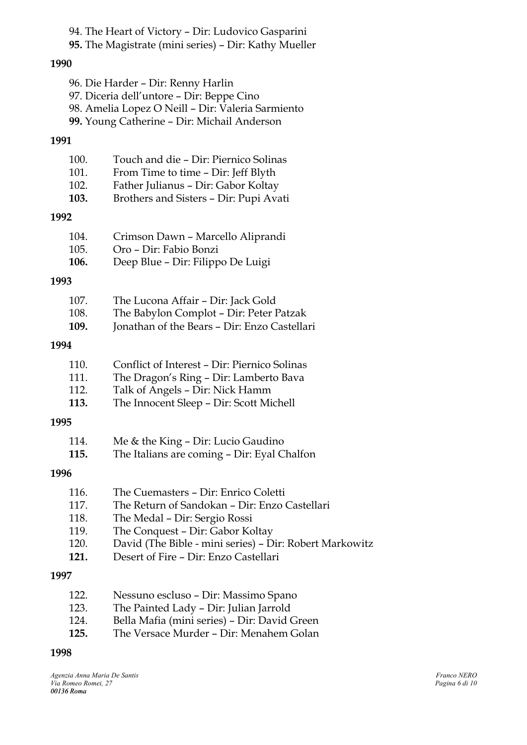94. The Heart of Victory – Dir: Ludovico Gasparini

**95.** The Magistrate (mini series) – Dir: Kathy Mueller

#### **1990**

- 96. Die Harder Dir: Renny Harlin
- 97. Diceria dell'untore Dir: Beppe Cino
- 98. Amelia Lopez O Neill Dir: Valeria Sarmiento
- **99.** Young Catherine Dir: Michail Anderson

#### **1991**

| 100.<br>101.<br>102.<br>103. | Touch and die - Dir: Piernico Solinas<br>From Time to time - Dir: Jeff Blyth<br>Father Julianus - Dir: Gabor Koltay<br>Brothers and Sisters - Dir: Pupi Avati |
|------------------------------|---------------------------------------------------------------------------------------------------------------------------------------------------------------|
| 1992                         |                                                                                                                                                               |
| 104.<br>105.<br>106.         | Crimson Dawn - Marcello Aliprandi<br>Oro - Dir: Fabio Bonzi<br>Deep Blue - Dir: Filippo De Luigi                                                              |
| 1993                         |                                                                                                                                                               |
| 107.<br>108.<br>109.         | The Lucona Affair - Dir: Jack Gold<br>The Babylon Complot - Dir: Peter Patzak<br>Jonathan of the Bears - Dir: Enzo Castellari                                 |
| 1994                         |                                                                                                                                                               |
| 110.                         | Conflict of Interest – Dir: Piernico Solinas                                                                                                                  |

- 111. The Dragon's Ring Dir: Lamberto Bava
- 112. Talk of Angels Dir: Nick Hamm
- **113.** The Innocent Sleep Dir: Scott Michell

#### **1995**

| 114. | Me & the King - Dir: Lucio Gaudino |  |                                                                                                                                                                                                                                                                                                                                    |  |
|------|------------------------------------|--|------------------------------------------------------------------------------------------------------------------------------------------------------------------------------------------------------------------------------------------------------------------------------------------------------------------------------------|--|
| 44F  | пп1 т. 1*                          |  | $\mathbf{D}$ $\mathbf{E}$ $\mathbf{D}$ $\mathbf{E}$ $\mathbf{D}$ $\mathbf{E}$ $\mathbf{E}$ $\mathbf{D}$ $\mathbf{E}$ $\mathbf{E}$ $\mathbf{E}$ $\mathbf{E}$ $\mathbf{E}$ $\mathbf{E}$ $\mathbf{E}$ $\mathbf{E}$ $\mathbf{E}$ $\mathbf{E}$ $\mathbf{E}$ $\mathbf{E}$ $\mathbf{E}$ $\mathbf{E}$ $\mathbf{E}$ $\mathbf{E}$ $\mathbf{$ |  |

**115.** The Italians are coming – Dir: Eyal Chalfon

#### **1996**

| 116. | The Cuemasters - Dir: Enrico Coletti                    |
|------|---------------------------------------------------------|
| 117. | The Return of Sandokan – Dir: Enzo Castellari           |
| 118. | The Medal - Dir: Sergio Rossi                           |
| 119. | The Conquest - Dir: Gabor Koltay                        |
| 120. | David (The Bible - mini series) - Dir: Robert Markowitz |
| 121. | Desert of Fire - Dir: Enzo Castellari                   |
| 1997 |                                                         |
| 122. | Nessuno escluso – Dir: Massimo Spano                    |
| 123  | The Painted Lady - Dir: Iulian Iarrold                  |

- 123. The Painted Lady Dir: Julian Jarrold 124. Bella Mafia (mini series) – Dir: David Green
- **125.** The Versace Murder Dir: Menahem Golan

#### **1998**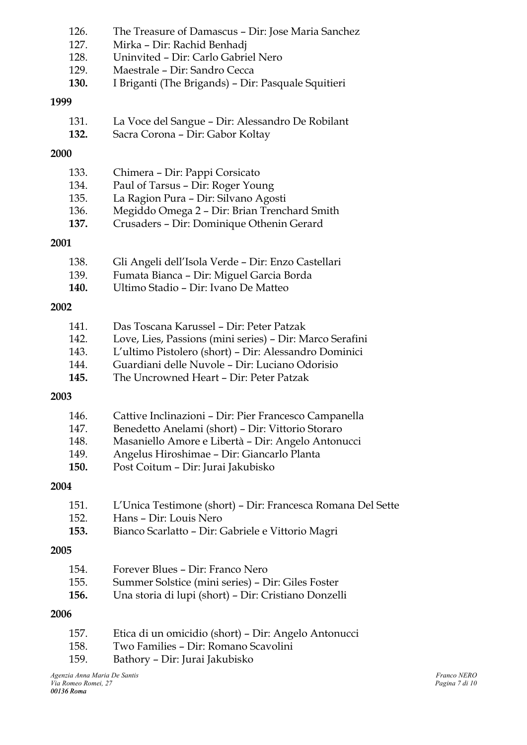|      | 126.<br>127. | The Treasure of Damascus - Dir: Jose Maria Sanchez<br>Mirka - Dir: Rachid Benhadj |
|------|--------------|-----------------------------------------------------------------------------------|
|      | 128.         | Uninvited - Dir: Carlo Gabriel Nero                                               |
|      | 129.         | Maestrale - Dir: Sandro Cecca                                                     |
|      | 130.         | I Briganti (The Brigands) - Dir: Pasquale Squitieri                               |
| 1999 |              |                                                                                   |
|      | 131.         | La Voce del Sangue - Dir: Alessandro De Robilant                                  |
|      | 132.         | Sacra Corona - Dir: Gabor Koltay                                                  |
| 2000 |              |                                                                                   |
|      | 133.         | Chimera - Dir: Pappi Corsicato                                                    |
|      | 134.         | Paul of Tarsus - Dir: Roger Young                                                 |
|      | 135.         | La Ragion Pura - Dir: Silvano Agosti                                              |
|      | 136.         | Megiddo Omega 2 - Dir: Brian Trenchard Smith                                      |
|      | 137.         | Crusaders - Dir: Dominique Othenin Gerard                                         |
| 2001 |              |                                                                                   |
|      | 138.         | Gli Angeli dell'Isola Verde - Dir: Enzo Castellari                                |
|      | 139.         | Fumata Bianca - Dir: Miguel Garcia Borda                                          |
|      | 140.         | Ultimo Stadio - Dir: Ivano De Matteo                                              |
| 2002 |              |                                                                                   |
|      | 141.         | Das Toscana Karussel - Dir: Peter Patzak                                          |
|      | 142.         | Love, Lies, Passions (mini series) - Dir: Marco Serafini                          |
|      | 143.         | L'ultimo Pistolero (short) - Dir: Alessandro Dominici                             |
|      | 144.         | Guardiani delle Nuvole - Dir: Luciano Odorisio                                    |
|      | 145.         | The Uncrowned Heart - Dir: Peter Patzak                                           |
| 2003 |              |                                                                                   |
|      | 146.         | Cattive Inclinazioni - Dir: Pier Francesco Campanella                             |
|      | 147.         | Benedetto Anelami (short) - Dir: Vittorio Storaro                                 |
|      | 148.         | Masaniello Amore e Libertà - Dir: Angelo Antonucci                                |
|      | 149.         | Angelus Hiroshimae - Dir: Giancarlo Planta                                        |
|      | 150.         | Post Coitum - Dir: Jurai Jakubisko                                                |
| 2004 |              |                                                                                   |
|      | 151.         | L'Unica Testimone (short) – Dir: Francesca Romana Del Sette                       |
|      | 152.         | Hans - Dir: Louis Nero                                                            |
|      | 153.         | Bianco Scarlatto - Dir: Gabriele e Vittorio Magri                                 |
| 2005 |              |                                                                                   |
|      | 154.         | Forever Blues - Dir: Franco Nero                                                  |
|      | 155.         | Summer Solstice (mini series) - Dir: Giles Foster                                 |
|      | 156.         | Una storia di lupi (short) – Dir: Cristiano Donzelli                              |
| 2006 |              |                                                                                   |
|      | 157.         | Etica di un omicidio (short) – Dir: Angelo Antonucci                              |
|      | 158.         | Two Families - Dir: Romano Scavolini                                              |
|      | 159.         | Bathory – Dir: Jurai Jakubisko                                                    |
|      |              |                                                                                   |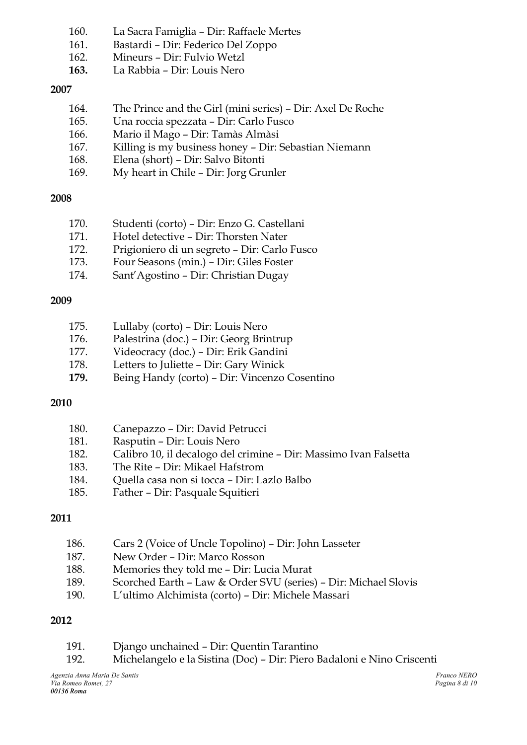- 160. La Sacra Famiglia Dir: Raffaele Mertes
- 161. Bastardi Dir: Federico Del Zoppo
- 162. Mineurs Dir: Fulvio Wetzl
- **163.** La Rabbia Dir: Louis Nero

### **2007**

- 164. The Prince and the Girl (mini series) Dir: Axel De Roche
- 165. Una roccia spezzata Dir: Carlo Fusco
- 166. Mario il Mago Dir: Tamàs Almàsi
- 167. Killing is my business honey Dir: Sebastian Niemann
- 168. Elena (short) Dir: Salvo Bitonti
- 169. My heart in Chile Dir: Jorg Grunler

# **2008**

- 170. Studenti (corto) Dir: Enzo G. Castellani
- 171. Hotel detective Dir: Thorsten Nater
- 172. Prigioniero di un segreto Dir: Carlo Fusco
- 173. Four Seasons (min.) Dir: Giles Foster
- 174. Sant'Agostino Dir: Christian Dugay

# **2009**

| 175. | Lullaby (corto) - Dir: Louis Nero             |
|------|-----------------------------------------------|
| 176. | Palestrina (doc.) - Dir: Georg Brintrup       |
| 177. | Videocracy (doc.) - Dir: Erik Gandini         |
| 178. | Letters to Juliette - Dir: Gary Winick        |
| 179. | Being Handy (corto) - Dir: Vincenzo Cosentino |
|      |                                               |

# **2010**

| 180. | Canepazzo – Dir: David Petrucci                                  |
|------|------------------------------------------------------------------|
| 181. | Rasputin – Dir: Louis Nero                                       |
| 182. | Calibro 10, il decalogo del crimine – Dir: Massimo Ivan Falsetta |
| 183. | The Rite - Dir: Mikael Hafstrom                                  |
| 184. | Quella casa non si tocca – Dir: Lazlo Balbo                      |
| 185. | Father - Dir: Pasquale Squitieri                                 |
|      |                                                                  |

# **2011**

- 186. Cars 2 (Voice of Uncle Topolino) Dir: John Lasseter
- 187. New Order Dir: Marco Rosson
- 188. Memories they told me Dir: Lucia Murat
- 189. Scorched Earth Law & Order SVU (series) Dir: Michael Slovis
- 190. L'ultimo Alchimista (corto) Dir: Michele Massari

# **2012**

- 191. Django unchained Dir: Quentin Tarantino
- 192. Michelangelo e la Sistina (Doc) Dir: Piero Badaloni e Nino Criscenti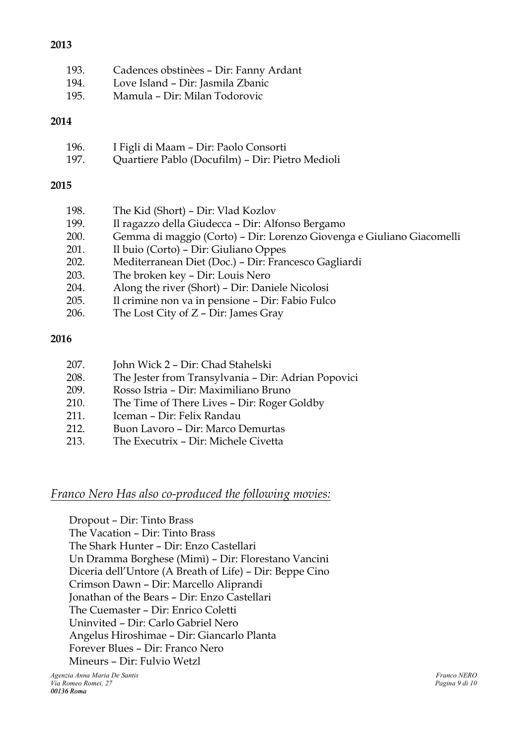# 193. Cadences obstinèes – Dir: Fanny Ardant

- 194. Love Island Dir: Jasmila Zbanic
- 195. Mamula Dir: Milan Todorovic

# **2014**

| 196. | I Figli di Maam – Dir: Paolo Consorti            |
|------|--------------------------------------------------|
| 197. | Quartiere Pablo (Docufilm) - Dir: Pietro Medioli |

# **2015**

| 198. |                                                                       |
|------|-----------------------------------------------------------------------|
|      | The Kid (Short) – Dir: Vlad Kozlov                                    |
| 199. | Il ragazzo della Giudecca - Dir: Alfonso Bergamo                      |
| 200. | Gemma di maggio (Corto) – Dir: Lorenzo Giovenga e Giuliano Giacomelli |
| 201. | Il buio (Corto) – Dir: Giuliano Oppes                                 |
| 202. | Mediterranean Diet (Doc.) - Dir: Francesco Gagliardi                  |
| 203. | The broken key – Dir: Louis Nero                                      |
| 204. | Along the river (Short) - Dir: Daniele Nicolosi                       |
| 205. | Il crimine non va in pensione - Dir: Fabio Fulco                      |
| 206. | The Lost City of Z - Dir: James Gray                                  |
|      |                                                                       |

# **2016**

| 207. | John Wick 2 – Dir: Chad Stahelski                   |
|------|-----------------------------------------------------|
| 208. | The Jester from Transylvania - Dir: Adrian Popovici |
| 209. | Rosso Istria - Dir: Maximiliano Bruno               |
| 210. | The Time of There Lives – Dir: Roger Goldby         |
| 211. | Iceman – Dir: Felix Randau                          |
| 212. | Buon Lavoro – Dir: Marco Demurtas                   |
| 213. | The Executrix - Dir: Michele Civetta                |

# *Franco Nero Has also co-produced the following movies:*

Dropout – Dir: Tinto Brass The Vacation – Dir: Tinto Brass The Shark Hunter – Dir: Enzo Castellari Un Dramma Borghese (Mimì) – Dir: Florestano Vancini Diceria dell'Untore (A Breath of Life) – Dir: Beppe Cino Crimson Dawn – Dir: Marcello Aliprandi Jonathan of the Bears – Dir: Enzo Castellari The Cuemaster – Dir: Enrico Coletti Uninvited – Dir: Carlo Gabriel Nero Angelus Hiroshimae – Dir: Giancarlo Planta Forever Blues – Dir: Franco Nero Mineurs – Dir: Fulvio Wetzl

# **2013**